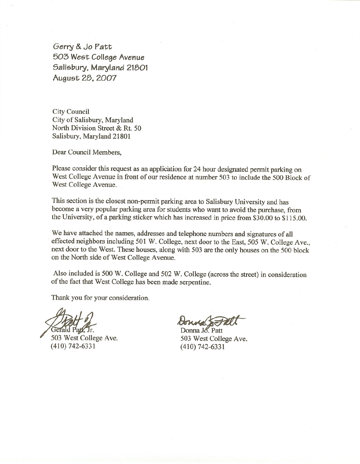Gerry & Jo Patt 503 West College Avenue Salisbury. Maryland 21801 August 28. 2007

City Council City of Salisbury, Maryland North Division Street & Rt. 50 Salisbury, Maryland 21801

Dear Council Members,

Please consider this request as an application for 24 hour designated permit parking on West College Avenue in front of our residence at number 503 to include the 500 Block of West College Avenue.

This section is the closest non-permit parking area to Salisbury University and has become a very popular parking area for students who want to avoid the purchase, from the University, of a parking sticker which has increased in price from \$30.00 to \$115.00.

We have attached the names, addresses and telephone numbers and signatures of all effected neighbors including 501 W. College, next door to the East, 505 W. College Ave., next door to the West. These houses, along with 503 are the only houses on the 500 block on the North side of West College Avenue.

Also included is 500 W. College and 502 W. College (across the street) in consideration of the fact that West College has been made serpentine.

Thank you for your consideration.

503 West College Ave. (410) 742-6331

Donna Jo. Patt 503 West College Ave. (410) 742-6331